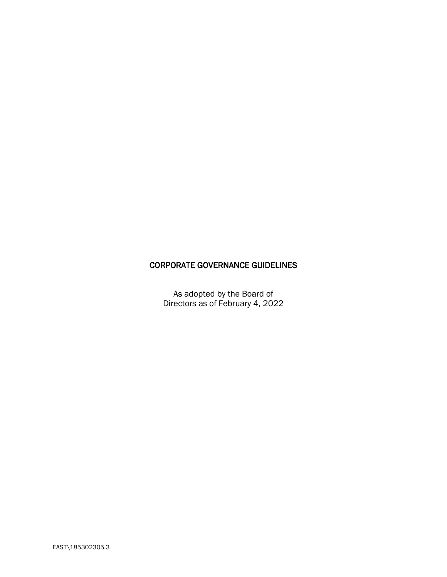# CORPORATE GOVERNANCE GUIDELINES

As adopted by the Board of Directors as of February 4, 2022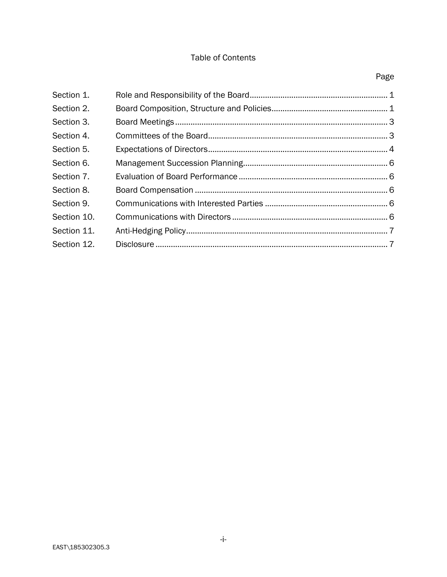# Table of Contents

| Section 1.  |  |
|-------------|--|
| Section 2.  |  |
| Section 3.  |  |
| Section 4.  |  |
| Section 5.  |  |
| Section 6.  |  |
| Section 7.  |  |
| Section 8.  |  |
| Section 9.  |  |
| Section 10. |  |
| Section 11. |  |
| Section 12. |  |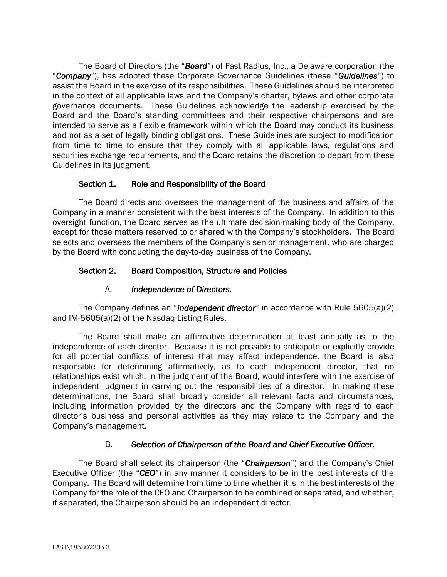The Board of Directors (the "*Board*") of Fast Radius, Inc., a Delaware corporation (the "*Company*"), has adopted these Corporate Governance Guidelines (these "*Guidelines*") to assist the Board in the exercise of its responsibilities. These Guidelines should be interpreted in the context of all applicable laws and the Company's charter, bylaws and other corporate governance documents. These Guidelines acknowledge the leadership exercised by the Board and the Board's standing committees and their respective chairpersons and are intended to serve as a flexible framework within which the Board may conduct its business and not as a set of legally binding obligations. These Guidelines are subject to modification from time to time to ensure that they comply with all applicable laws, regulations and securities exchange requirements, and the Board retains the discretion to depart from these Guidelines in its judgment.

### Section 1. Role and Responsibility of the Board

<span id="page-2-0"></span>The Board directs and oversees the management of the business and affairs of the Company in a manner consistent with the best interests of the Company. In addition to this oversight function, the Board serves as the ultimate decision-making body of the Company, except for those matters reserved to or shared with the Company's stockholders. The Board selects and oversees the members of the Company's senior management, who are charged by the Board with conducting the day-to-day business of the Company.

### <span id="page-2-1"></span>Section 2. Board Composition, Structure and Policies

### A. *Independence of Directors.*

The Company defines an "*independent director*" in accordance with Rule 5605(a)(2) and IM-5605(a)(2) of the Nasdaq Listing Rules.

The Board shall make an affirmative determination at least annually as to the independence of each director. Because it is not possible to anticipate or explicitly provide for all potential conflicts of interest that may affect independence, the Board is also responsible for determining affirmatively, as to each independent director, that no relationships exist which, in the judgment of the Board, would interfere with the exercise of independent judgment in carrying out the responsibilities of a director. In making these determinations, the Board shall broadly consider all relevant facts and circumstances, including information provided by the directors and the Company with regard to each director's business and personal activities as they may relate to the Company and the Company's management.

### B. *Selection of Chairperson of the Board and Chief Executive Officer.*

The Board shall select its chairperson (the "*Chairperson*") and the Company's Chief Executive Officer (the "*CEO*") in any manner it considers to be in the best interests of the Company. The Board will determine from time to time whether it is in the best interests of the Company for the role of the CEO and Chairperson to be combined or separated, and whether, if separated, the Chairperson should be an independent director.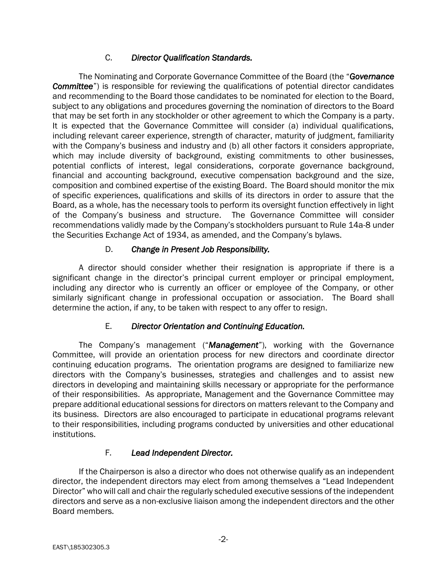### C. *Director Qualification Standards.*

The Nominating and Corporate Governance Committee of the Board (the "*Governance Committee*") is responsible for reviewing the qualifications of potential director candidates and recommending to the Board those candidates to be nominated for election to the Board, subject to any obligations and procedures governing the nomination of directors to the Board that may be set forth in any stockholder or other agreement to which the Company is a party. It is expected that the Governance Committee will consider (a) individual qualifications, including relevant career experience, strength of character, maturity of judgment, familiarity with the Company's business and industry and (b) all other factors it considers appropriate, which may include diversity of background, existing commitments to other businesses, potential conflicts of interest, legal considerations, corporate governance background, financial and accounting background, executive compensation background and the size, composition and combined expertise of the existing Board. The Board should monitor the mix of specific experiences, qualifications and skills of its directors in order to assure that the Board, as a whole, has the necessary tools to perform its oversight function effectively in light of the Company's business and structure. The Governance Committee will consider recommendations validly made by the Company's stockholders pursuant to Rule 14a-8 under the Securities Exchange Act of 1934, as amended, and the Company's bylaws.

## D. *Change in Present Job Responsibility.*

A director should consider whether their resignation is appropriate if there is a significant change in the director's principal current employer or principal employment, including any director who is currently an officer or employee of the Company, or other similarly significant change in professional occupation or association. The Board shall determine the action, if any, to be taken with respect to any offer to resign.

## E. *Director Orientation and Continuing Education.*

The Company's management ("*Management*"), working with the Governance Committee, will provide an orientation process for new directors and coordinate director continuing education programs. The orientation programs are designed to familiarize new directors with the Company's businesses, strategies and challenges and to assist new directors in developing and maintaining skills necessary or appropriate for the performance of their responsibilities. As appropriate, Management and the Governance Committee may prepare additional educational sessions for directors on matters relevant to the Company and its business. Directors are also encouraged to participate in educational programs relevant to their responsibilities, including programs conducted by universities and other educational institutions.

## F. *Lead Independent Director.*

If the Chairperson is also a director who does not otherwise qualify as an independent director, the independent directors may elect from among themselves a "Lead Independent Director" who will call and chair the regularly scheduled executive sessions of the independent directors and serve as a non-exclusive liaison among the independent directors and the other Board members.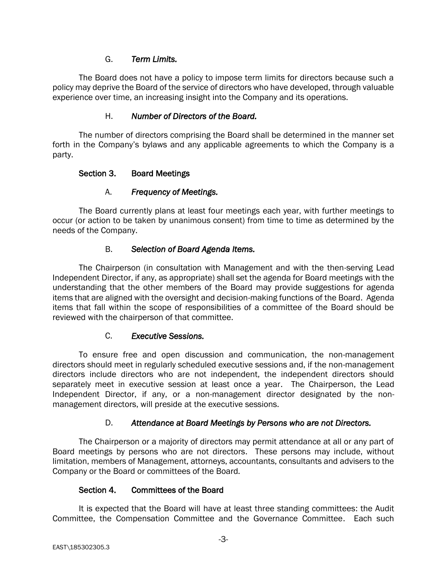### G. *Term Limits.*

The Board does not have a policy to impose term limits for directors because such a policy may deprive the Board of the service of directors who have developed, through valuable experience over time, an increasing insight into the Company and its operations.

### H. *Number of Directors of the Board.*

The number of directors comprising the Board shall be determined in the manner set forth in the Company's bylaws and any applicable agreements to which the Company is a party.

### <span id="page-4-0"></span>Section 3. Board Meetings

### A. *Frequency of Meetings.*

The Board currently plans at least four meetings each year, with further meetings to occur (or action to be taken by unanimous consent) from time to time as determined by the needs of the Company.

### B. *Selection of Board Agenda Items.*

The Chairperson (in consultation with Management and with the then-serving Lead Independent Director, if any, as appropriate) shall set the agenda for Board meetings with the understanding that the other members of the Board may provide suggestions for agenda items that are aligned with the oversight and decision-making functions of the Board. Agenda items that fall within the scope of responsibilities of a committee of the Board should be reviewed with the chairperson of that committee.

### C. *Executive Sessions.*

To ensure free and open discussion and communication, the non-management directors should meet in regularly scheduled executive sessions and, if the non-management directors include directors who are not independent, the independent directors should separately meet in executive session at least once a year. The Chairperson, the Lead Independent Director, if any, or a non-management director designated by the nonmanagement directors, will preside at the executive sessions.

## D. *Attendance at Board Meetings by Persons who are not Directors.*

The Chairperson or a majority of directors may permit attendance at all or any part of Board meetings by persons who are not directors. These persons may include, without limitation, members of Management, attorneys, accountants, consultants and advisers to the Company or the Board or committees of the Board.

## Section 4. Committees of the Board

<span id="page-4-1"></span>It is expected that the Board will have at least three standing committees: the Audit Committee, the Compensation Committee and the Governance Committee. Each such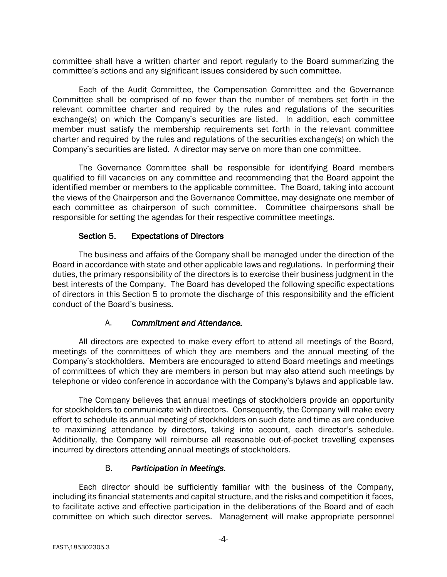committee shall have a written charter and report regularly to the Board summarizing the committee's actions and any significant issues considered by such committee.

Each of the Audit Committee, the Compensation Committee and the Governance Committee shall be comprised of no fewer than the number of members set forth in the relevant committee charter and required by the rules and regulations of the securities exchange(s) on which the Company's securities are listed. In addition, each committee member must satisfy the membership requirements set forth in the relevant committee charter and required by the rules and regulations of the securities exchange(s) on which the Company's securities are listed. A director may serve on more than one committee.

The Governance Committee shall be responsible for identifying Board members qualified to fill vacancies on any committee and recommending that the Board appoint the identified member or members to the applicable committee. The Board, taking into account the views of the Chairperson and the Governance Committee, may designate one member of each committee as chairperson of such committee. Committee chairpersons shall be responsible for setting the agendas for their respective committee meetings.

### Section 5. Expectations of Directors

<span id="page-5-0"></span>The business and affairs of the Company shall be managed under the direction of the Board in accordance with state and other applicable laws and regulations. In performing their duties, the primary responsibility of the directors is to exercise their business judgment in the best interests of the Company. The Board has developed the following specific expectations of directors in this Section 5 to promote the discharge of this responsibility and the efficient conduct of the Board's business.

### A. *Commitment and Attendance.*

All directors are expected to make every effort to attend all meetings of the Board, meetings of the committees of which they are members and the annual meeting of the Company's stockholders. Members are encouraged to attend Board meetings and meetings of committees of which they are members in person but may also attend such meetings by telephone or video conference in accordance with the Company's bylaws and applicable law.

The Company believes that annual meetings of stockholders provide an opportunity for stockholders to communicate with directors. Consequently, the Company will make every effort to schedule its annual meeting of stockholders on such date and time as are conducive to maximizing attendance by directors, taking into account, each director's schedule. Additionally, the Company will reimburse all reasonable out-of-pocket travelling expenses incurred by directors attending annual meetings of stockholders.

### B. *Participation in Meetings.*

Each director should be sufficiently familiar with the business of the Company, including its financial statements and capital structure, and the risks and competition it faces, to facilitate active and effective participation in the deliberations of the Board and of each committee on which such director serves. Management will make appropriate personnel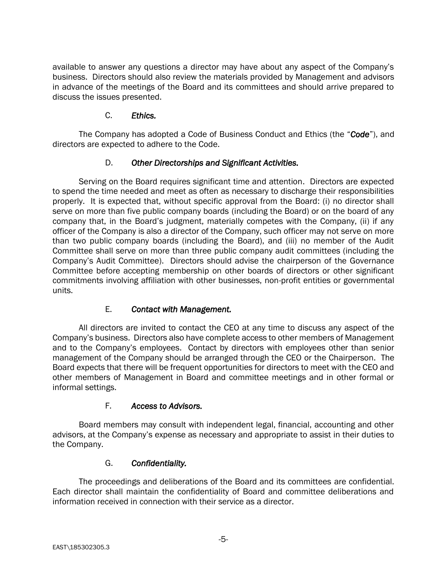available to answer any questions a director may have about any aspect of the Company's business. Directors should also review the materials provided by Management and advisors in advance of the meetings of the Board and its committees and should arrive prepared to discuss the issues presented.

### C. *Ethics.*

The Company has adopted a Code of Business Conduct and Ethics (the "*Code*"), and directors are expected to adhere to the Code.

## D. *Other Directorships and Significant Activities.*

Serving on the Board requires significant time and attention. Directors are expected to spend the time needed and meet as often as necessary to discharge their responsibilities properly. It is expected that, without specific approval from the Board: (i) no director shall serve on more than five public company boards (including the Board) or on the board of any company that, in the Board's judgment, materially competes with the Company, (ii) if any officer of the Company is also a director of the Company, such officer may not serve on more than two public company boards (including the Board), and (iii) no member of the Audit Committee shall serve on more than three public company audit committees (including the Company's Audit Committee). Directors should advise the chairperson of the Governance Committee before accepting membership on other boards of directors or other significant commitments involving affiliation with other businesses, non-profit entities or governmental units.

## E. *Contact with Management.*

All directors are invited to contact the CEO at any time to discuss any aspect of the Company's business. Directors also have complete access to other members of Management and to the Company's employees. Contact by directors with employees other than senior management of the Company should be arranged through the CEO or the Chairperson. The Board expects that there will be frequent opportunities for directors to meet with the CEO and other members of Management in Board and committee meetings and in other formal or informal settings.

### F. *Access to Advisors.*

Board members may consult with independent legal, financial, accounting and other advisors, at the Company's expense as necessary and appropriate to assist in their duties to the Company.

### G. *Confidentiality.*

The proceedings and deliberations of the Board and its committees are confidential. Each director shall maintain the confidentiality of Board and committee deliberations and information received in connection with their service as a director.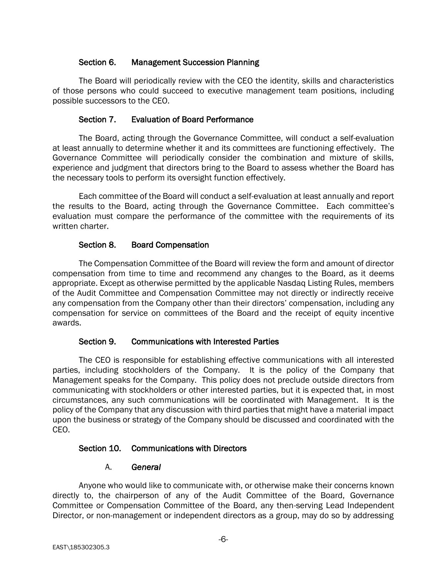### Section 6. Management Succession Planning

<span id="page-7-0"></span>The Board will periodically review with the CEO the identity, skills and characteristics of those persons who could succeed to executive management team positions, including possible successors to the CEO.

### Section 7. Evaluation of Board Performance

<span id="page-7-1"></span>The Board, acting through the Governance Committee, will conduct a self-evaluation at least annually to determine whether it and its committees are functioning effectively. The Governance Committee will periodically consider the combination and mixture of skills, experience and judgment that directors bring to the Board to assess whether the Board has the necessary tools to perform its oversight function effectively.

Each committee of the Board will conduct a self-evaluation at least annually and report the results to the Board, acting through the Governance Committee. Each committee's evaluation must compare the performance of the committee with the requirements of its written charter.

### Section 8. Board Compensation

<span id="page-7-2"></span>The Compensation Committee of the Board will review the form and amount of director compensation from time to time and recommend any changes to the Board, as it deems appropriate. Except as otherwise permitted by the applicable Nasdaq Listing Rules, members of the Audit Committee and Compensation Committee may not directly or indirectly receive any compensation from the Company other than their directors' compensation, including any compensation for service on committees of the Board and the receipt of equity incentive awards.

### Section 9. Communications with Interested Parties

<span id="page-7-3"></span>The CEO is responsible for establishing effective communications with all interested parties, including stockholders of the Company. It is the policy of the Company that Management speaks for the Company. This policy does not preclude outside directors from communicating with stockholders or other interested parties, but it is expected that, in most circumstances, any such communications will be coordinated with Management. It is the policy of the Company that any discussion with third parties that might have a material impact upon the business or strategy of the Company should be discussed and coordinated with the CEO.

### <span id="page-7-4"></span>Section 10. Communications with Directors

### A. *General*

Anyone who would like to communicate with, or otherwise make their concerns known directly to, the chairperson of any of the Audit Committee of the Board, Governance Committee or Compensation Committee of the Board, any then-serving Lead Independent Director, or non-management or independent directors as a group, may do so by addressing